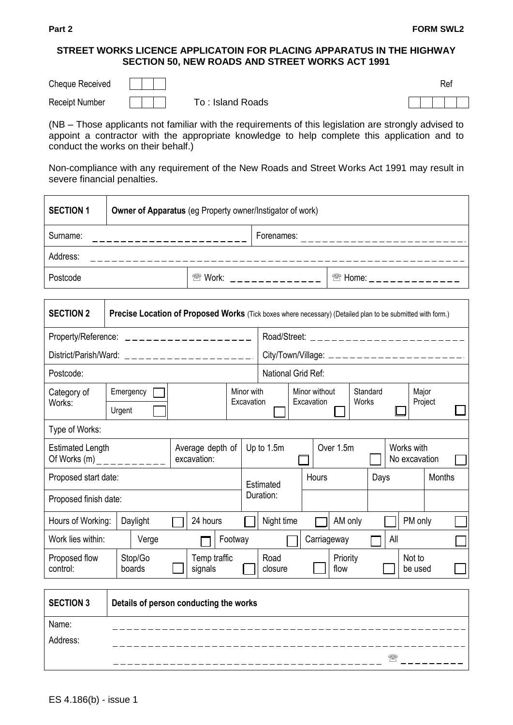## **STREET WORKS LICENCE APPLICATOIN FOR PLACING APPARATUS IN THE HIGHWAY SECTION 50, NEW ROADS AND STREET WORKS ACT 1991**

| <b>Cheque Received</b> |                  |  |  | Rei |
|------------------------|------------------|--|--|-----|
| <b>Receipt Number</b>  | To: Island Roads |  |  |     |

|  | To: Island Roads |
|--|------------------|

(NB – Those applicants not familiar with the requirements of this legislation are strongly advised to appoint a contractor with the appropriate knowledge to help complete this application and to conduct the works on their behalf.)

Non-compliance with any requirement of the New Roads and Street Works Act 1991 may result in severe financial penalties.

| <b>SECTION 1</b> |  | Owner of Apparatus (eg Property owner/Instigator of work) |            |                     |  |  |  |  |
|------------------|--|-----------------------------------------------------------|------------|---------------------|--|--|--|--|
| Surname:         |  |                                                           | Forenames: |                     |  |  |  |  |
| Address:         |  |                                                           |            |                     |  |  |  |  |
| Postcode         |  | <sup>2</sup> Work:                                        |            | $\mathcal{L}$ Home: |  |  |  |  |

| <b>SECTION 2</b>                                                   |                                        | Precise Location of Proposed Works (Tick boxes where necessary) (Detailed plan to be submitted with form.) |  |                                 |  |                                         |                                                        |  |  |               |                  |       |                   |     |                   |         |  |
|--------------------------------------------------------------------|----------------------------------------|------------------------------------------------------------------------------------------------------------|--|---------------------------------|--|-----------------------------------------|--------------------------------------------------------|--|--|---------------|------------------|-------|-------------------|-----|-------------------|---------|--|
| Property/Reference: $\angle$ _ _ _ _ _ _ _ _ _ _ _ _ _ _ _ _ _ _   |                                        |                                                                                                            |  |                                 |  | Road/Street: __________________________ |                                                        |  |  |               |                  |       |                   |     |                   |         |  |
| District/Parish/Ward: $\angle$ _ _ _ _ _ _ _ _ _ _ _ _ _ _ _ _ _ _ |                                        |                                                                                                            |  |                                 |  |                                         |                                                        |  |  |               |                  |       |                   |     |                   |         |  |
| Postcode:                                                          |                                        |                                                                                                            |  |                                 |  |                                         | National Grid Ref:                                     |  |  |               |                  |       |                   |     |                   |         |  |
| Category of                                                        |                                        | Emergency                                                                                                  |  |                                 |  | Minor with                              |                                                        |  |  | Minor without |                  |       | Standard<br>Major |     |                   |         |  |
| Works:                                                             |                                        | Urgent                                                                                                     |  |                                 |  | Excavation                              |                                                        |  |  | Excavation    |                  | Works |                   |     |                   | Project |  |
| Type of Works:                                                     |                                        |                                                                                                            |  |                                 |  |                                         |                                                        |  |  |               |                  |       |                   |     |                   |         |  |
| <b>Estimated Length</b><br>Of Works (m) _ _ _ _ _ _ _ _ _ _        |                                        |                                                                                                            |  | Average depth of<br>excavation: |  |                                         | Over 1.5m<br>Up to 1.5m<br>Works with<br>No excavation |  |  |               |                  |       |                   |     |                   |         |  |
| Proposed start date:                                               |                                        |                                                                                                            |  |                                 |  |                                         | Hours<br>Days<br>Estimated                             |  |  | <b>Months</b> |                  |       |                   |     |                   |         |  |
| Proposed finish date:                                              |                                        |                                                                                                            |  |                                 |  |                                         | Duration:                                              |  |  |               |                  |       |                   |     |                   |         |  |
| Hours of Working:                                                  |                                        | Daylight                                                                                                   |  | 24 hours                        |  |                                         | Night time                                             |  |  |               | AM only          |       |                   |     | PM only           |         |  |
| Work lies within:                                                  |                                        | Verge                                                                                                      |  |                                 |  | Footway                                 |                                                        |  |  |               | Carriageway      |       |                   | All |                   |         |  |
| Proposed flow<br>control:                                          |                                        | Stop/Go<br>boards                                                                                          |  | Temp traffic<br>signals         |  |                                         | Road<br>closure                                        |  |  |               | Priority<br>flow |       |                   |     | Not to<br>be used |         |  |
| <b>SECTION 3</b>                                                   | Details of person conducting the works |                                                                                                            |  |                                 |  |                                         |                                                        |  |  |               |                  |       |                   |     |                   |         |  |
| Name:                                                              |                                        |                                                                                                            |  |                                 |  |                                         |                                                        |  |  |               |                  |       |                   |     |                   |         |  |
| Address:                                                           |                                        |                                                                                                            |  |                                 |  |                                         |                                                        |  |  |               |                  |       |                   |     |                   |         |  |
|                                                                    |                                        |                                                                                                            |  |                                 |  |                                         |                                                        |  |  |               |                  |       |                   |     |                   |         |  |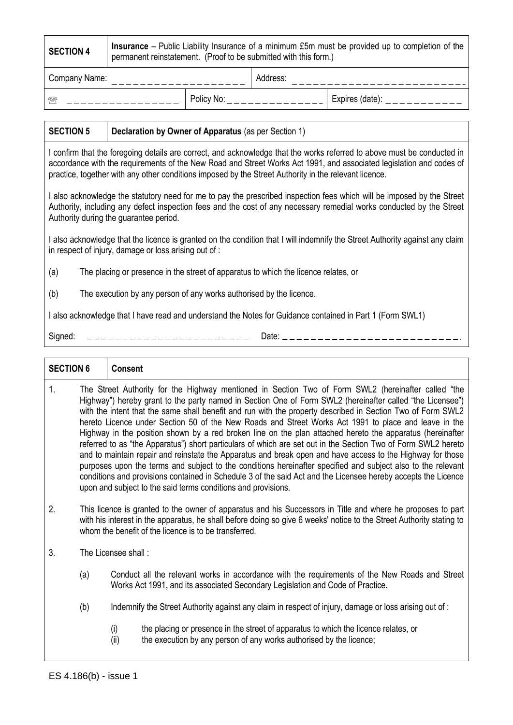| <b>SECTION 4</b>           | <b>Insurance</b> – Public Liability Insurance of a minimum £5m must be provided up to completion of the<br>permanent reinstatement. (Proof to be submitted with this form.) |  |          |                 |  |  |  |  |
|----------------------------|-----------------------------------------------------------------------------------------------------------------------------------------------------------------------------|--|----------|-----------------|--|--|--|--|
| Company Name:              |                                                                                                                                                                             |  | Address: |                 |  |  |  |  |
| Policy No:<br>$\mathbb{R}$ |                                                                                                                                                                             |  |          | Expires (date): |  |  |  |  |

## **SECTION 5 Declaration by Owner of Apparatus** (as per Section 1)

I confirm that the foregoing details are correct, and acknowledge that the works referred to above must be conducted in accordance with the requirements of the New Road and Street Works Act 1991, and associated legislation and codes of practice, together with any other conditions imposed by the Street Authority in the relevant licence.

I also acknowledge the statutory need for me to pay the prescribed inspection fees which will be imposed by the Street Authority, including any defect inspection fees and the cost of any necessary remedial works conducted by the Street Authority during the guarantee period.

I also acknowledge that the licence is granted on the condition that I will indemnify the Street Authority against any claim in respect of injury, damage or loss arising out of :

(a) The placing or presence in the street of apparatus to which the licence relates, or

(b) The execution by any person of any works authorised by the licence.

I also acknowledge that I have read and understand the Notes for Guidance contained in Part 1 (Form SWL1)

Signed: Date:

| <b>SECTION 6</b> |                                                                                                                                                                                                                                                                                              | <b>Consent</b>                                                                                                                                                                                                                                                                                                                                                                                                                                                                                                                                                                                                                                                                                                                                                                                                                                                                                                                                                                                                                                                                        |  |  |  |  |
|------------------|----------------------------------------------------------------------------------------------------------------------------------------------------------------------------------------------------------------------------------------------------------------------------------------------|---------------------------------------------------------------------------------------------------------------------------------------------------------------------------------------------------------------------------------------------------------------------------------------------------------------------------------------------------------------------------------------------------------------------------------------------------------------------------------------------------------------------------------------------------------------------------------------------------------------------------------------------------------------------------------------------------------------------------------------------------------------------------------------------------------------------------------------------------------------------------------------------------------------------------------------------------------------------------------------------------------------------------------------------------------------------------------------|--|--|--|--|
| 1.               |                                                                                                                                                                                                                                                                                              | The Street Authority for the Highway mentioned in Section Two of Form SWL2 (hereinafter called "the<br>Highway") hereby grant to the party named in Section One of Form SWL2 (hereinafter called "the Licensee")<br>with the intent that the same shall benefit and run with the property described in Section Two of Form SWL2<br>hereto Licence under Section 50 of the New Roads and Street Works Act 1991 to place and leave in the<br>Highway in the position shown by a red broken line on the plan attached hereto the apparatus (hereinafter<br>referred to as "the Apparatus") short particulars of which are set out in the Section Two of Form SWL2 hereto<br>and to maintain repair and reinstate the Apparatus and break open and have access to the Highway for those<br>purposes upon the terms and subject to the conditions hereinafter specified and subject also to the relevant<br>conditions and provisions contained in Schedule 3 of the said Act and the Licensee hereby accepts the Licence<br>upon and subject to the said terms conditions and provisions. |  |  |  |  |
| 2.               | This licence is granted to the owner of apparatus and his Successors in Title and where he proposes to part<br>with his interest in the apparatus, he shall before doing so give 6 weeks' notice to the Street Authority stating to<br>whom the benefit of the licence is to be transferred. |                                                                                                                                                                                                                                                                                                                                                                                                                                                                                                                                                                                                                                                                                                                                                                                                                                                                                                                                                                                                                                                                                       |  |  |  |  |
| 3.               |                                                                                                                                                                                                                                                                                              | The Licensee shall:                                                                                                                                                                                                                                                                                                                                                                                                                                                                                                                                                                                                                                                                                                                                                                                                                                                                                                                                                                                                                                                                   |  |  |  |  |
|                  | (a)                                                                                                                                                                                                                                                                                          | Conduct all the relevant works in accordance with the requirements of the New Roads and Street<br>Works Act 1991, and its associated Secondary Legislation and Code of Practice.                                                                                                                                                                                                                                                                                                                                                                                                                                                                                                                                                                                                                                                                                                                                                                                                                                                                                                      |  |  |  |  |
|                  | (b)<br>Indemnify the Street Authority against any claim in respect of injury, damage or loss arising out of :                                                                                                                                                                                |                                                                                                                                                                                                                                                                                                                                                                                                                                                                                                                                                                                                                                                                                                                                                                                                                                                                                                                                                                                                                                                                                       |  |  |  |  |
|                  |                                                                                                                                                                                                                                                                                              | (i)<br>the placing or presence in the street of apparatus to which the licence relates, or<br>the execution by any person of any works authorised by the licence;<br>(ii)                                                                                                                                                                                                                                                                                                                                                                                                                                                                                                                                                                                                                                                                                                                                                                                                                                                                                                             |  |  |  |  |
|                  | ES 4.186(b) - issue 1                                                                                                                                                                                                                                                                        |                                                                                                                                                                                                                                                                                                                                                                                                                                                                                                                                                                                                                                                                                                                                                                                                                                                                                                                                                                                                                                                                                       |  |  |  |  |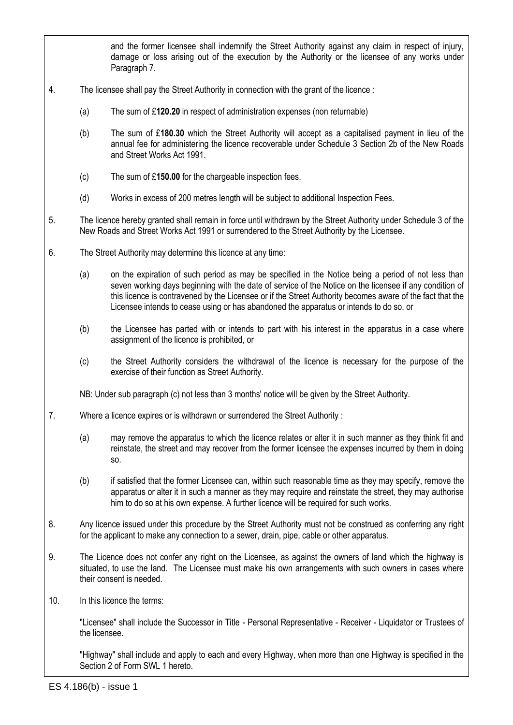and the former licensee shall indemnify the Street Authority against any claim in respect of injury, damage or loss arising out of the execution by the Authority or the licensee of any works under Paragraph 7.

- 4. The licensee shall pay the Street Authority in connection with the grant of the licence :
	- (a) The sum of £**120.20** in respect of administration expenses (non returnable)
	- (b) The sum of £**180.30** which the Street Authority will accept as a capitalised payment in lieu of the annual fee for administering the licence recoverable under Schedule 3 Section 2b of the New Roads and Street Works Act 1991.
	- (c) The sum of £**150.00** for the chargeable inspection fees.
	- (d) Works in excess of 200 metres length will be subject to additional Inspection Fees.
- 5. The licence hereby granted shall remain in force until withdrawn by the Street Authority under Schedule 3 of the New Roads and Street Works Act 1991 or surrendered to the Street Authority by the Licensee.
- 6. The Street Authority may determine this licence at any time:
	- (a) on the expiration of such period as may be specified in the Notice being a period of not less than seven working days beginning with the date of service of the Notice on the licensee if any condition of this licence is contravened by the Licensee or if the Street Authority becomes aware of the fact that the Licensee intends to cease using or has abandoned the apparatus or intends to do so, or
	- (b) the Licensee has parted with or intends to part with his interest in the apparatus in a case where assignment of the licence is prohibited, or
	- (c) the Street Authority considers the withdrawal of the licence is necessary for the purpose of the exercise of their function as Street Authority.

NB: Under sub paragraph (c) not less than 3 months' notice will be given by the Street Authority.

- 7. Where a licence expires or is withdrawn or surrendered the Street Authority :
	- (a) may remove the apparatus to which the licence relates or alter it in such manner as they think fit and reinstate, the street and may recover from the former licensee the expenses incurred by them in doing so.
	- (b) if satisfied that the former Licensee can, within such reasonable time as they may specify, remove the apparatus or alter it in such a manner as they may require and reinstate the street, they may authorise him to do so at his own expense. A further licence will be required for such works.
- 8. Any licence issued under this procedure by the Street Authority must not be construed as conferring any right for the applicant to make any connection to a sewer, drain, pipe, cable or other apparatus.
- 9. The Licence does not confer any right on the Licensee, as against the owners of land which the highway is situated, to use the land. The Licensee must make his own arrangements with such owners in cases where their consent is needed.
- 10. In this licence the terms:

"Licensee" shall include the Successor in Title - Personal Representative - Receiver - Liquidator or Trustees of the licensee.

"Highway" shall include and apply to each and every Highway, when more than one Highway is specified in the Section 2 of Form SWL 1 hereto.